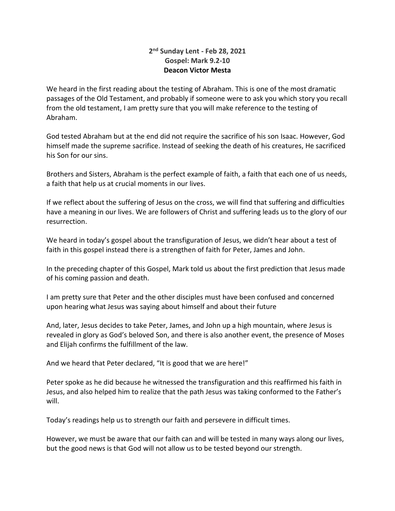## **2 nd Sunday Lent - Feb 28, 2021 Gospel: Mark 9.2-10 Deacon Victor Mesta**

We heard in the first reading about the testing of Abraham. This is one of the most dramatic passages of the Old Testament, and probably if someone were to ask you which story you recall from the old testament, I am pretty sure that you will make reference to the testing of Abraham.

God tested Abraham but at the end did not require the sacrifice of his son Isaac. However, God himself made the supreme sacrifice. Instead of seeking the death of his creatures, He sacrificed his Son for our sins.

Brothers and Sisters, Abraham is the perfect example of faith, a faith that each one of us needs, a faith that help us at crucial moments in our lives.

If we reflect about the suffering of Jesus on the cross, we will find that suffering and difficulties have a meaning in our lives. We are followers of Christ and suffering leads us to the glory of our resurrection.

We heard in today's gospel about the transfiguration of Jesus, we didn't hear about a test of faith in this gospel instead there is a strengthen of faith for Peter, James and John.

In the preceding chapter of this Gospel, Mark told us about the first prediction that Jesus made of his coming passion and death.

I am pretty sure that Peter and the other disciples must have been confused and concerned upon hearing what Jesus was saying about himself and about their future

And, later, Jesus decides to take Peter, James, and John up a high mountain, where Jesus is revealed in glory as God's beloved Son, and there is also another event, the presence of Moses and Elijah confirms the fulfillment of the law.

And we heard that Peter declared, "It is good that we are here!"

Peter spoke as he did because he witnessed the transfiguration and this reaffirmed his faith in Jesus, and also helped him to realize that the path Jesus was taking conformed to the Father's will.

Today's readings help us to strength our faith and persevere in difficult times.

However, we must be aware that our faith can and will be tested in many ways along our lives, but the good news is that God will not allow us to be tested beyond our strength.